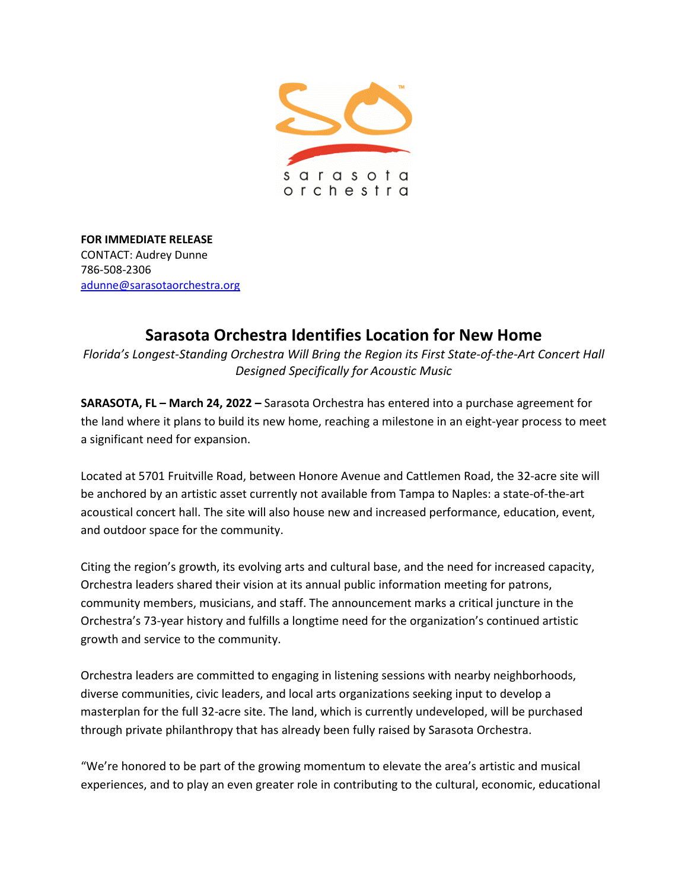

**FOR IMMEDIATE RELEASE** CONTACT: Audrey Dunne 786-508-2306 [adunne@sarasotaorchestra.org](mailto:adunne@sarasotaorchestra.org)

# **Sarasota Orchestra Identifies Location for New Home**

*Florida's Longest-Standing Orchestra Will Bring the Region its First State-of-the-Art Concert Hall Designed Specifically for Acoustic Music*

**SARASOTA, FL – March 24, 2022 –** Sarasota Orchestra has entered into a purchase agreement for the land where it plans to build its new home, reaching a milestone in an eight-year process to meet a significant need for expansion.

Located at 5701 Fruitville Road, between Honore Avenue and Cattlemen Road, the 32-acre site will be anchored by an artistic asset currently not available from Tampa to Naples: a state-of-the-art acoustical concert hall. The site will also house new and increased performance, education, event, and outdoor space for the community.

Citing the region's growth, its evolving arts and cultural base, and the need for increased capacity, Orchestra leaders shared their vision at its annual public information meeting for patrons, community members, musicians, and staff. The announcement marks a critical juncture in the Orchestra's 73-year history and fulfills a longtime need for the organization's continued artistic growth and service to the community.

Orchestra leaders are committed to engaging in listening sessions with nearby neighborhoods, diverse communities, civic leaders, and local arts organizations seeking input to develop a masterplan for the full 32-acre site. The land, which is currently undeveloped, will be purchased through private philanthropy that has already been fully raised by Sarasota Orchestra.

"We're honored to be part of the growing momentum to elevate the area's artistic and musical experiences, and to play an even greater role in contributing to the cultural, economic, educational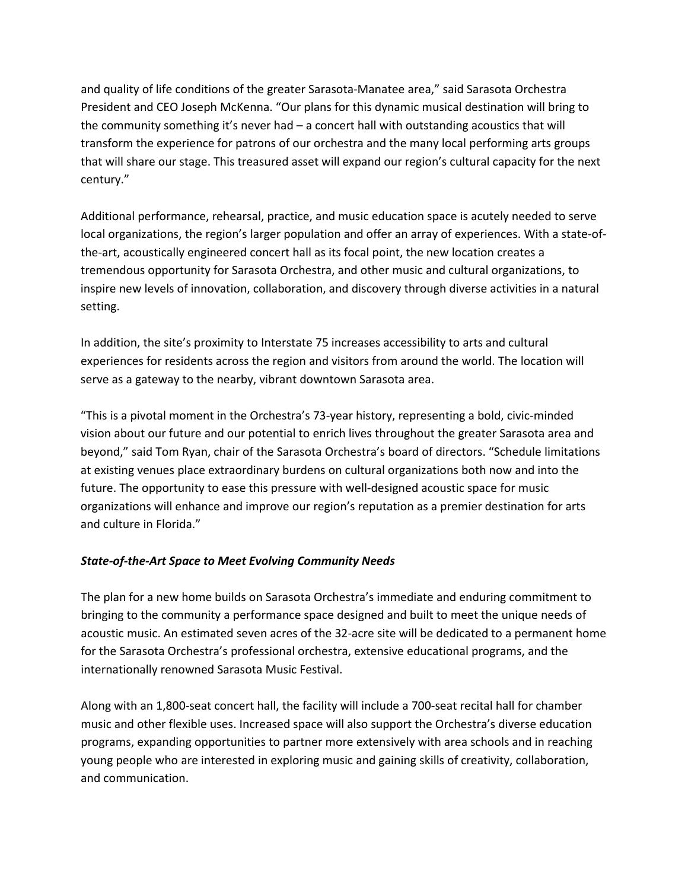and quality of life conditions of the greater Sarasota-Manatee area," said Sarasota Orchestra President and CEO Joseph McKenna. "Our plans for this dynamic musical destination will bring to the community something it's never had – a concert hall with outstanding acoustics that will transform the experience for patrons of our orchestra and the many local performing arts groups that will share our stage. This treasured asset will expand our region's cultural capacity for the next century."

Additional performance, rehearsal, practice, and music education space is acutely needed to serve local organizations, the region's larger population and offer an array of experiences. With a state-ofthe-art, acoustically engineered concert hall as its focal point, the new location creates a tremendous opportunity for Sarasota Orchestra, and other music and cultural organizations, to inspire new levels of innovation, collaboration, and discovery through diverse activities in a natural setting.

In addition, the site's proximity to Interstate 75 increases accessibility to arts and cultural experiences for residents across the region and visitors from around the world. The location will serve as a gateway to the nearby, vibrant downtown Sarasota area.

"This is a pivotal moment in the Orchestra's 73-year history, representing a bold, civic-minded vision about our future and our potential to enrich lives throughout the greater Sarasota area and beyond," said Tom Ryan, chair of the Sarasota Orchestra's board of directors. "Schedule limitations at existing venues place extraordinary burdens on cultural organizations both now and into the future. The opportunity to ease this pressure with well-designed acoustic space for music organizations will enhance and improve our region's reputation as a premier destination for arts and culture in Florida."

# *State-of-the-Art Space to Meet Evolving Community Needs*

The plan for a new home builds on Sarasota Orchestra's immediate and enduring commitment to bringing to the community a performance space designed and built to meet the unique needs of acoustic music. An estimated seven acres of the 32-acre site will be dedicated to a permanent home for the Sarasota Orchestra's professional orchestra, extensive educational programs, and the internationally renowned Sarasota Music Festival.

Along with an 1,800-seat concert hall, the facility will include a 700-seat recital hall for chamber music and other flexible uses. Increased space will also support the Orchestra's diverse education programs, expanding opportunities to partner more extensively with area schools and in reaching young people who are interested in exploring music and gaining skills of creativity, collaboration, and communication.